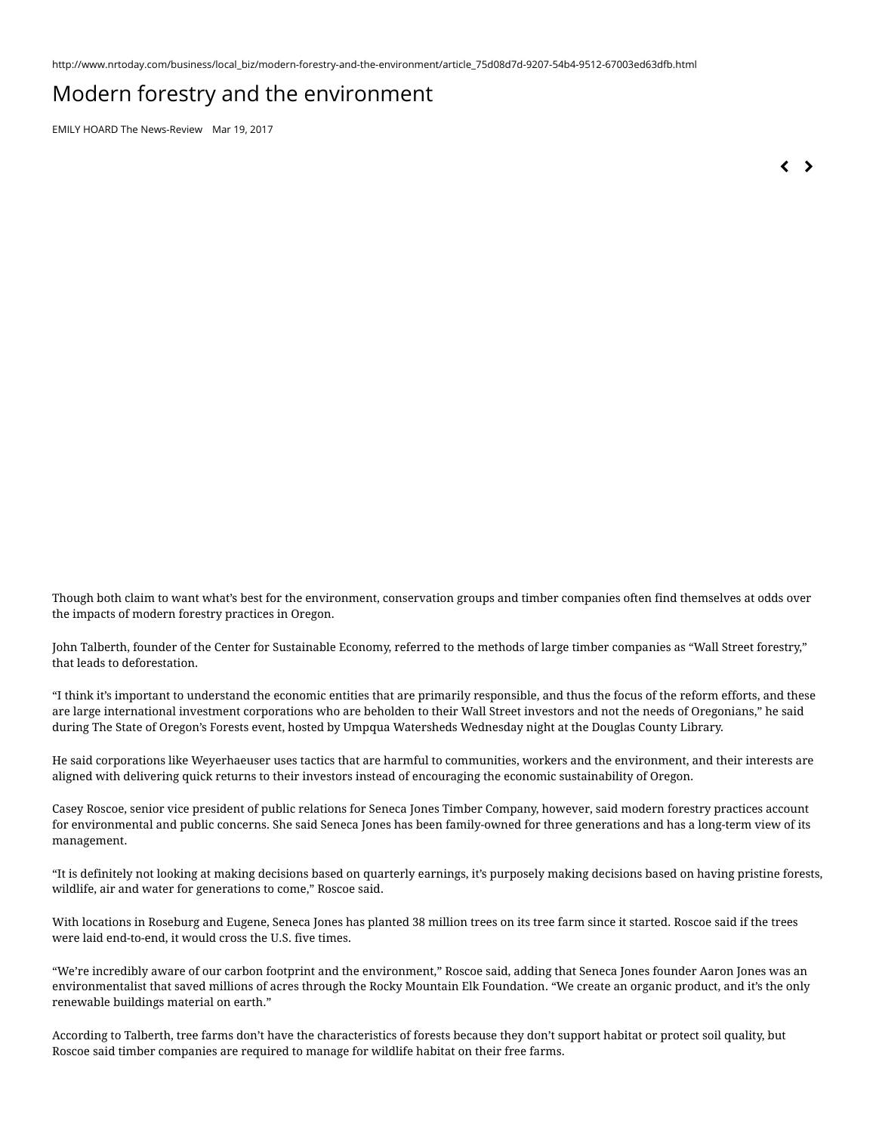http://www.nrtoday.com/business/local\_biz/modern-forestry-and-the-environment/article\_75d08d7d-9207-54b4-9512-67003ed63dfb.html

## Modern forestry and the environment

EMILY HOARD The [News-Review](https://www.nrtoday.com/users/profile/EHoard) Mar 19, 2017

 $\left\langle \quad \right\rangle$ 

Though both claim to want what's best for the environment, conservation groups and timber companies often find themselves at odds over the impacts of modern forestry practices in Oregon.

John Talberth, founder of the Center for Sustainable Economy, referred to the methods of large timber companies as "Wall Street forestry," that leads to deforestation.

"I think it's important to understand the economic entities that are primarily responsible, and thus the focus of the reform efforts, and these are large international investment corporations who are beholden to their Wall Street investors and not the needs of Oregonians," he said during The State of Oregon's Forests event, hosted by Umpqua Watersheds Wednesday night at the Douglas County Library.

He said corporations like Weyerhaeuser uses tactics that are harmful to communities, workers and the environment, and their interests are aligned with delivering quick returns to their investors instead of encouraging the economic sustainability of Oregon.

Casey Roscoe, senior vice president of public relations for Seneca Jones Timber Company, however, said modern forestry practices account for environmental and public concerns. She said Seneca Jones has been family-owned for three generations and has a long-term view of its management.

"It is definitely not looking at making decisions based on quarterly earnings, it's purposely making decisions based on having pristine forests, wildlife, air and water for generations to come," Roscoe said.

With locations in Roseburg and Eugene, Seneca Jones has planted 38 million trees on its tree farm since it started. Roscoe said if the trees were laid end-to-end, it would cross the U.S. five times.

"We're incredibly aware of our carbon footprint and the environment," Roscoe said, adding that Seneca Jones founder Aaron Jones was an environmentalist that saved millions of acres through the Rocky Mountain Elk Foundation. "We create an organic product, and it's the only renewable buildings material on earth."

According to Talberth, tree farms don't have the characteristics of forests because they don't support habitat or protect soil quality, but Roscoe said timber companies are required to manage for wildlife habitat on their free farms.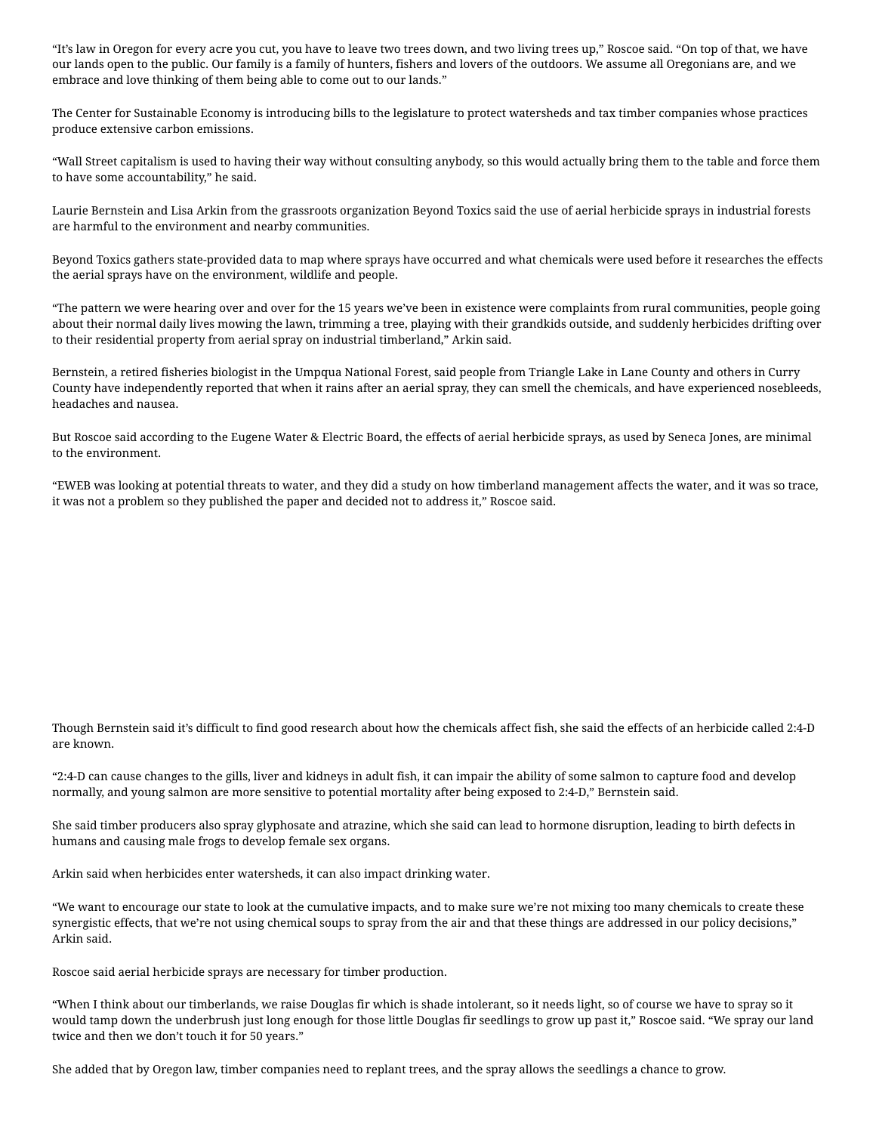"It's law in Oregon for every acre you cut, you have to leave two trees down, and two living trees up," Roscoe said. "On top of that, we have our lands open to the public. Our family is a family of hunters, fishers and lovers of the outdoors. We assume all Oregonians are, and we embrace and love thinking of them being able to come out to our lands."

The Center for Sustainable Economy is introducing bills to the legislature to protect watersheds and tax timber companies whose practices produce extensive carbon emissions.

"Wall Street capitalism is used to having their way without consulting anybody, so this would actually bring them to the table and force them to have some accountability," he said.

Laurie Bernstein and Lisa Arkin from the grassroots organization Beyond Toxics said the use of aerial herbicide sprays in industrial forests are harmful to the environment and nearby communities.

Beyond Toxics gathers state-provided data to map where sprays have occurred and what chemicals were used before it researches the effects the aerial sprays have on the environment, wildlife and people.

"The pattern we were hearing over and over for the 15 years we've been in existence were complaints from rural communities, people going about their normal daily lives mowing the lawn, trimming a tree, playing with their grandkids outside, and suddenly herbicides drifting over to their residential property from aerial spray on industrial timberland," Arkin said.

Bernstein, a retired fisheries biologist in the Umpqua National Forest, said people from Triangle Lake in Lane County and others in Curry County have independently reported that when it rains after an aerial spray, they can smell the chemicals, and have experienced nosebleeds, headaches and nausea.

But Roscoe said according to the Eugene Water & Electric Board, the effects of aerial herbicide sprays, as used by Seneca Jones, are minimal to the environment.

"EWEB was looking at potential threats to water, and they did a study on how timberland management affects the water, and it was so trace, it was not a problem so they published the paper and decided not to address it," Roscoe said.

Though Bernstein said it's difficult to find good research about how the chemicals affect fish, she said the effects of an herbicide called 2:4-D are known.

"2:4-D can cause changes to the gills, liver and kidneys in adult fish, it can impair the ability of some salmon to capture food and develop normally, and young salmon are more sensitive to potential mortality after being exposed to 2:4-D," Bernstein said.

She said timber producers also spray glyphosate and atrazine, which she said can lead to hormone disruption, leading to birth defects in humans and causing male frogs to develop female sex organs.

Arkin said when herbicides enter watersheds, it can also impact drinking water.

"We want to encourage our state to look at the cumulative impacts, and to make sure we're not mixing too many chemicals to create these synergistic effects, that we're not using chemical soups to spray from the air and that these things are addressed in our policy decisions," Arkin said.

Roscoe said aerial herbicide sprays are necessary for timber production.

"When I think about our timberlands, we raise Douglas fir which is shade intolerant, so it needs light, so of course we have to spray so it would tamp down the underbrush just long enough for those little Douglas fir seedlings to grow up past it," Roscoe said. "We spray our land twice and then we don't touch it for 50 years."

She added that by Oregon law, timber companies need to replant trees, and the spray allows the seedlings a chance to grow.